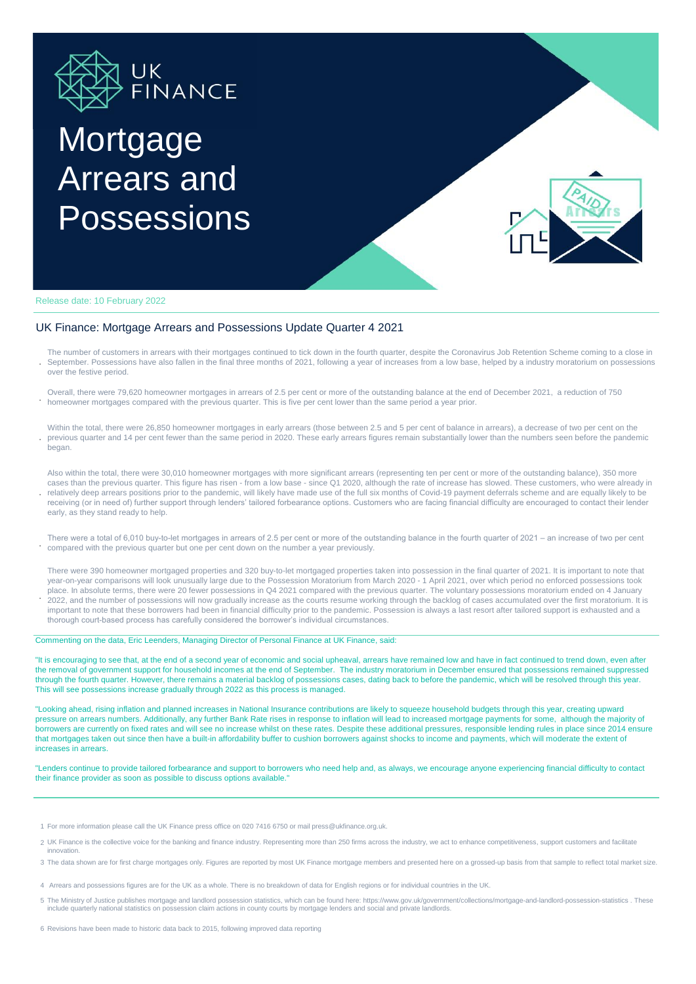

# Mortgage Arrears and **Possessions**



Release date: 10 February 2022

**.**

#### UK Finance: Mortgage Arrears and Possessions Update Quarter 4 2021

- **.** The number of customers in arrears with their mortgages continued to tick down in the fourth quarter, despite the Coronavirus Job Retention Scheme coming to a close in September. Possessions have also fallen in the final three months of 2021, following a year of increases from a low base, helped by a industry moratorium on possessions over the festive period.
- **.** Overall, there were 79,620 homeowner mortgages in arrears of 2.5 per cent or more of the outstanding balance at the end of December 2021, a reduction of 750 homeowner mortgages compared with the previous quarter. This is five per cent lower than the same period a year prior.
- **.** Within the total, there were 26,850 homeowner mortgages in early arrears (those between 2.5 and 5 per cent of balance in arrears), a decrease of two per cent on the previous quarter and 14 per cent fewer than the same period in 2020. These early arrears figures remain substantially lower than the numbers seen before the pandemic began.
- **.** Also within the total, there were 30,010 homeowner mortgages with more significant arrears (representing ten per cent or more of the outstanding balance), 350 more cases than the previous quarter. This figure has risen - from a low base - since Q1 2020, although the rate of increase has slowed. These customers, who were already in relatively deep arrears positions prior to the pandemic, will likely have made use of the full six months of Covid-19 payment deferrals scheme and are equally likely to be receiving (or in need of) further support through lenders' tailored forbearance options. Customers who are facing financial difficulty are encouraged to contact their lender early, as they stand ready to help.
- **.** There were a total of 6,010 buy-to-let mortgages in arrears of 2.5 per cent or more of the outstanding balance in the fourth quarter of 2021 – an increase of two per cent compared with the previous quarter but one per cent down on the number a year previously.
- There were 390 homeowner mortgaged properties and 320 buy-to-let mortgaged properties taken into possession in the final quarter of 2021. It is important to note that year-on-year comparisons will look unusually large due to the Possession Moratorium from March 2020 - 1 April 2021, over which period no enforced possessions took place. In absolute terms, there were 20 fewer possessions in Q4 2021 compared with the previous quarter. The voluntary possessions moratorium ended on 4 January 2022, and the number of possessions will now gradually increase as the courts resume working through the backlog of cases accumulated over the first moratorium. It is
- important to note that these borrowers had been in financial difficulty prior to the pandemic. Possession is always a last resort after tailored support is exhausted and a thorough court-based process has carefully considered the borrower's individual circumstances.

#### Commenting on the data, Eric Leenders, Managing Director of Personal Finance at UK Finance, said:

"It is encouraging to see that, at the end of a second year of economic and social upheaval, arrears have remained low and have in fact continued to trend down, even after the removal of government support for household incomes at the end of September. The industry moratorium in December ensured that possessions remained suppressed through the fourth quarter. However, there remains a material backlog of possessions cases, dating back to before the pandemic, which will be resolved through this year. This will see possessions increase gradually through 2022 as this process is managed.

"Looking ahead, rising inflation and planned increases in National Insurance contributions are likely to squeeze household budgets through this year, creating upward pressure on arrears numbers. Additionally, any further Bank Rate rises in response to inflation will lead to increased mortgage payments for some, although the majority of borrowers are currently on fixed rates and will see no increase whilst on these rates. Despite these additional pressures, responsible lending rules in place since 2014 ensure that mortgages taken out since then have a built-in affordability buffer to cushion borrowers against shocks to income and payments, which will moderate the extent of increases in arrears.

"Lenders continue to provide tailored forbearance and support to borrowers who need help and, as always, we encourage anyone experiencing financial difficulty to contact their finance provider as soon as possible to discuss options available."

- 1 For more information please call the UK Finance press office on 020 7416 6750 or mail press@ukfinance.org.uk.
- 2 UK Finance is the collective voice for the banking and finance industry. Representing more than 250 firms across the industry, we act to enhance competitiveness, support customers and facilitate innovation.
- 3 The data shown are for first charge mortgages only. Figures are reported by most UK Finance mortgage members and presented here on a grossed-up basis from that sample to reflect total market size.
- 4 Arrears and possessions figures are for the UK as a whole. There is no breakdown of data for English regions or for individual countries in the UK.
- 5 The Ministry of Justice publishes mortgage and landlord possession statistics, which can be found here: https://www.gov.uk/government/collections/mortgage-and-landlord-possession-statistics . These include quarterly national statistics on possession claim actions in county courts by mortgage lenders and social and private landlords.

6 Revisions have been made to historic data back to 2015, following improved data reporting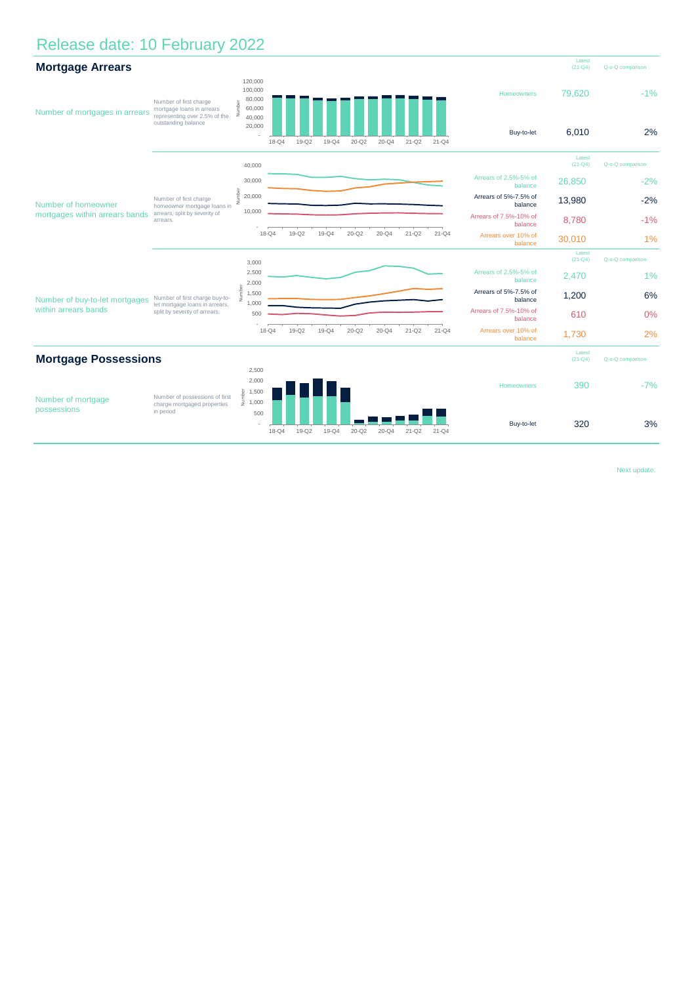## Release date: 10 February 2022



Next update: